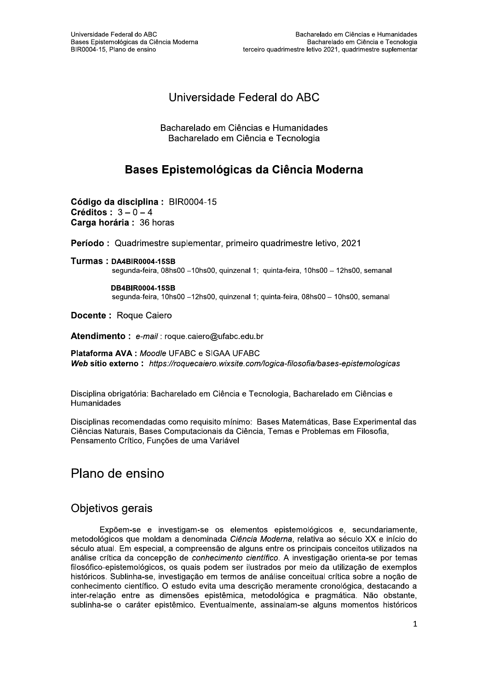# Universidade Federal do ABC

Bacharelado em Ciências e Humanidades Bacharelado em Ciência e Tecnologia

# Bases Epistemológicas da Ciência Moderna

Código da disciplina : BIR0004-15 Créditos:  $3-0-4$ Carga horária : 36 horas

Período: Quadrimestre suplementar, primeiro quadrimestre letivo, 2021

Turmas: DA4BIR0004-15SB segunda-feira, 08hs00 -10hs00, quinzenal 1; quinta-feira, 10hs00 - 12hs00, semanal

> **DB4BIR0004-15SB** segunda-feira, 10hs00 -12hs00, quinzenal 1; quinta-feira, 08hs00 - 10hs00, semanal

Docente : Roque Caiero

Atendimento: e-mail: roque.caiero@ufabc.edu.br

Plataforma AVA : Moodle UFABC e SIGAA UFABC Web sitio externo: https://roquecaiero.wixsite.com/logica-filosofia/bases-epistemologicas

Disciplina obrigatória: Bacharelado em Ciência e Tecnologia, Bacharelado em Ciências e Humanidades

Disciplinas recomendadas como requisito mínimo: Bases Matemáticas, Base Experimental das Ciências Naturais, Bases Computacionais da Ciência, Temas e Problemas em Filosofia, Pensamento Crítico, Funções de uma Variável

# Plano de ensino

### Objetivos gerais

Expõem-se e investigam-se os elementos epistemológicos e, secundariamente, metodológicos que moldam a denominada Ciência Moderna, relativa ao século XX e início do século atual. Em especial, a compreensão de alguns entre os principais conceitos utilizados na análise crítica da concepção de conhecimento científico. A investigação orienta-se por temas filosófico-epistemológicos, os quais podem ser ilustrados por meio da utilização de exemplos históricos. Sublinha-se, investigação em termos de análise conceitual crítica sobre a noção de conhecimento científico. O estudo evita uma descrição meramente cronológica, destacando a inter-relação entre as dimensões epistêmica, metodológica e pragmática. Não obstante, sublinha-se o caráter epistêmico. Eventualmente, assinalam-se alguns momentos históricos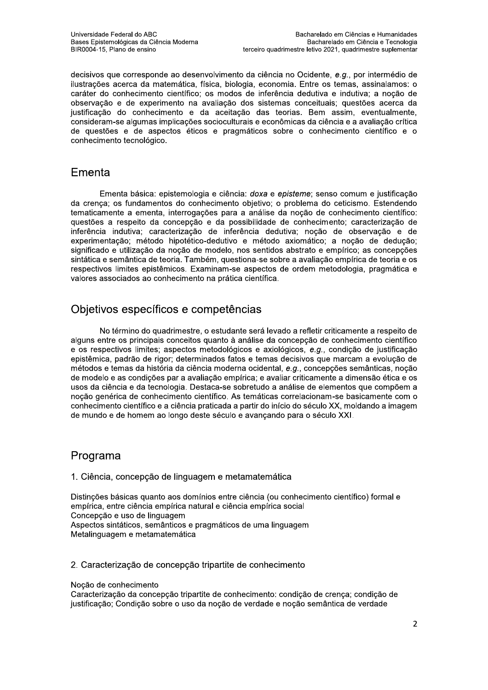decisivos que corresponde ao desenvolvimento da ciência no Ocidente, e.g., por intermédio de ilustrações acerca da matemática, física, biologia, economia. Entre os temas, assinalamos: o caráter do conhecimento científico; os modos de inferência dedutiva e indutiva; a noção de observação e de experimento na avaliação dos sistemas conceituais; questões acerca da justificação do conhecimento e da aceitação das teorias. Bem assim, eventualmente, consideram-se algumas implicações socioculturais e econômicas da ciência e a avaliação crítica de questões e de aspectos éticos e pragmáticos sobre o conhecimento científico e o conhecimento tecnológico.

## Ementa

Ementa básica: epistemologia e ciência: doxa e episteme: senso comum e justificação da crença; os fundamentos do conhecimento objetivo; o problema do ceticismo. Estendendo tematicamente a ementa, interrogações para a análise da noção de conhecimento científico: questões a respeito da concepção e da possibilidade de conhecimento; caracterização de inferência indutiva; caracterização de inferência dedutiva; noção de observação e de experimentação; método hipotético-dedutivo e método axiomático; a noção de dedução; significado e utilização da noção de modelo, nos sentidos abstrato e empírico; as concepções sintática e semântica de teoria. Também, questiona-se sobre a avaliação empírica de teoria e os respectivos limites epistêmicos. Examinam-se aspectos de ordem metodologia, pragmática e valores associados ao conhecimento na prática científica.

# Objetivos específicos e competências

No término do quadrimestre, o estudante será levado a refletir criticamente a respeito de alguns entre os principais conceitos quanto à análise da concepção de conhecimento científico e os respectivos limites; aspectos metodológicos e axiológicos, e.g., condição de justificação epistêmica, padrão de rigor; determinados fatos e temas decisivos que marcam a evolução de métodos e temas da história da ciência moderna ocidental, e.g., concepções semânticas, noção de modelo e as condições par a avaliação empírica; e avaliar criticamente a dimensão ética e os usos da ciência e da tecnologia. Destaca-se sobretudo a análise de elementos que compõem a noção genérica de conhecimento científico. As temáticas correlacionam-se basicamente com o conhecimento científico e a ciência praticada a partir do início do século XX, moldando a imagem de mundo e de homem ao longo deste século e avançando para o século XXI.

# Programa

1. Ciência, concepção de linguagem e metamatemática

Distinções básicas quanto aos domínios entre ciência (ou conhecimento científico) formal e empírica, entre ciência empírica natural e ciência empírica social Concepção e uso de linguagem Aspectos sintáticos, semânticos e pragmáticos de uma linguagem Metalinguagem e metamatemática

#### 2. Caracterização de concepção tripartite de conhecimento

Nocão de conhecimento

Caracterização da concepção tripartite de conhecimento: condição de crença; condição de justificação; Condição sobre o uso da noção de verdade e noção semântica de verdade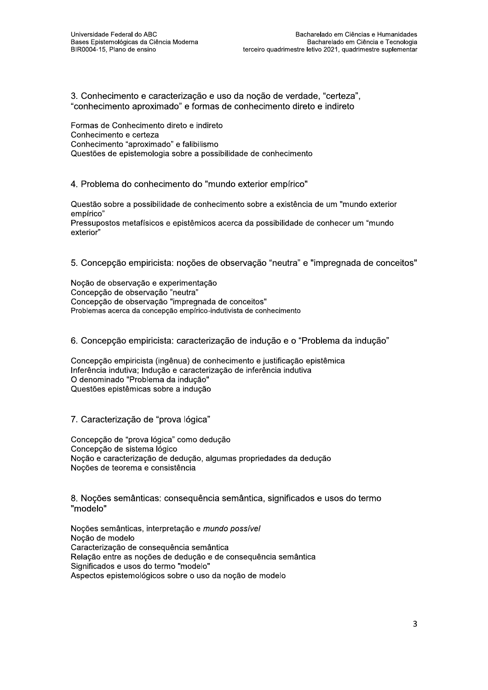exterior"

3. Conhecimento e caracterização e uso da noção de verdade, "certeza", "conhecimento aproximado" e formas de conhecimento direto e indireto

 $\mathbf{r}$ Formas de Connecimento direto e indireto Connecimento e certeza Conhecimento "aproximado" e falibilismo Questoes de epistemología sobre a possibilidade de connecimento

4. Problema do connecimento do "mundo exterior empírico"

 $\mathbf{r}$ Questão sobre a possibilidade de connecimento sobre a existencia de um "mundo exterior" empírico" Pressupostos metarisicos e epistemicos acerca da possibilidade de connecer um "mundo

5. Concepção empiricista: noções de observação "neutra" e "impregnada de conceitos"

 $\ddot{\phantom{a}}$ Noçao de observação e experimentação Concepção de observação "neutra" Concepção de observação "impregnada de conceitos"<br>— Problemas acerca da concepçao empírico-indutivista de conhecimento

6. Concepção empiricista: caracterização de indução e o "Problema da indução"

 $\overline{a}$ Concepção empiricista (ingenua) de connecimento e justificação epistemica interencia indutiva; indução e caracterização de interencia indutiva O denominado "Problema da Indução" Questoes epistemicas sobre a induçao

7. Caracterização de "prova lógica"

Concepção de "prova lógica" como dedução Concepção de sistema logico inoção e caracterização de dedução, algumas propriedades da dedução ivoções de teorema e consistencia

8. Noções semanticas: consequencia semantica, significados e usos do termo "modelo"

 $\mathbf{r}$ linoções semanticas, interpretação e *mundo possívei* Noção de modelo Caracterização de consequencia semantica<br>-Relação entre as noções de dedução e de consequencia semantica Significados e usos do termo "modelo"<br>. Aspectos epistemologicos sobre o uso da noção de modelo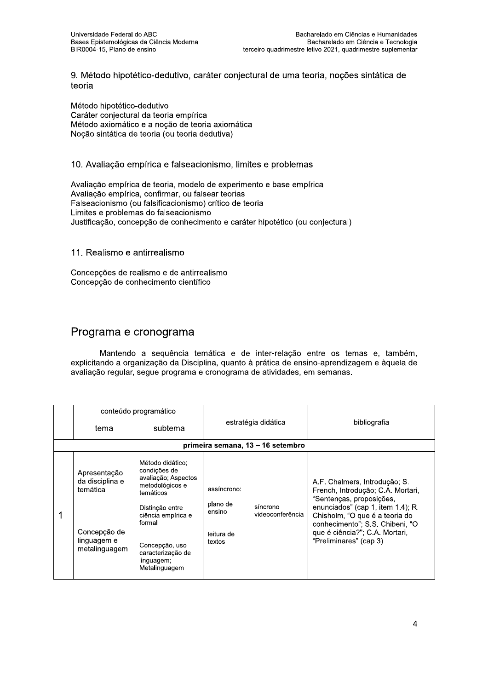9. Método hipotético-dedutivo, caráter conjectural de uma teoria, noções sintática de teoria

Método hipotético-dedutivo Caráter conjectural da teoria empírica Método axiomático e a noção de teoria axiomática Noção sintática de teoria (ou teoria dedutiva)

#### 10. Avaliação empírica e falseacionismo, limites e problemas

Avaliação empírica de teoria, modelo de experimento e base empírica Avaliação empírica, confirmar, ou falsear teorias Falseacionismo (ou falsificacionismo) crítico de teoria Limites e problemas do falseacionismo Justificação, concepção de conhecimento e caráter hipotético (ou conjectural)

#### 11. Realismo e antirrealismo

Concepções de realismo e de antirrealismo Concepção de conhecimento científico

### Programa e cronograma

Mantendo a sequência temática e de inter-relação entre os temas e, também, explicitando a organização da Disciplina, quanto à prática de ensino-aprendizagem e àquela de avaliação regular, segue programa e cronograma de atividades, em semanas.

|                                                                                             | conteúdo programático                                                                                                                                                                                            |                                                           |                              |                                                                                                                                                                                                                                                                      |
|---------------------------------------------------------------------------------------------|------------------------------------------------------------------------------------------------------------------------------------------------------------------------------------------------------------------|-----------------------------------------------------------|------------------------------|----------------------------------------------------------------------------------------------------------------------------------------------------------------------------------------------------------------------------------------------------------------------|
| tema                                                                                        | subtema                                                                                                                                                                                                          | estratégia didática                                       |                              | bibliografia                                                                                                                                                                                                                                                         |
|                                                                                             |                                                                                                                                                                                                                  | primeira semana, 13 - 16 setembro                         |                              |                                                                                                                                                                                                                                                                      |
| Apresentação<br>da disciplina e<br>temática<br>Concepção de<br>linguagem e<br>metalinguagem | Método didático:<br>condições de<br>avaliação; Aspectos<br>metodológicos e<br>temáticos<br>Distinção entre<br>ciência empírica e<br>formal<br>Concepção, uso<br>caracterização de<br>linguagem;<br>Metalinguagem | assíncrono:<br>plano de<br>ensino<br>leitura de<br>textos | síncrono<br>videoconferência | A.F. Chalmers, Introdução; S.<br>French, Introdução; C.A. Mortari,<br>"Sentenças, proposições,<br>enunciados" (cap 1, item 1.4); R.<br>Chisholm, "O que é a teoria do<br>conhecimento"; S.S. Chibeni, "O<br>que é ciência?"; C.A. Mortari,<br>"Preliminares" (cap 3) |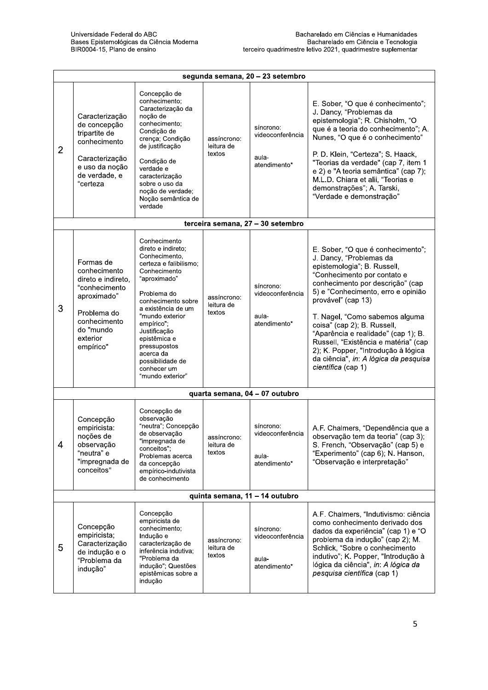|                | Universidade Federal do ABC<br>Bacharelado em Ciências e Humanidades<br>Bases Epistemológicas da Ciência Moderna<br>Bacharelado em Ciência e Tecnologia<br>BIR0004-15, Plano de ensino<br>terceiro quadrimestre letivo 2021, quadrimestre suplementar |                                                                                                                                                                                                                                                                                                                               |                                     |                                                        |                                                                                                                                                                                                                                                                                                                                                                                                                                                                                  |  |
|----------------|-------------------------------------------------------------------------------------------------------------------------------------------------------------------------------------------------------------------------------------------------------|-------------------------------------------------------------------------------------------------------------------------------------------------------------------------------------------------------------------------------------------------------------------------------------------------------------------------------|-------------------------------------|--------------------------------------------------------|----------------------------------------------------------------------------------------------------------------------------------------------------------------------------------------------------------------------------------------------------------------------------------------------------------------------------------------------------------------------------------------------------------------------------------------------------------------------------------|--|
|                |                                                                                                                                                                                                                                                       |                                                                                                                                                                                                                                                                                                                               |                                     | segunda semana, 20 - 23 setembro                       |                                                                                                                                                                                                                                                                                                                                                                                                                                                                                  |  |
| $\overline{2}$ | Caracterização<br>de concepção<br>tripartite de<br>conhecimento<br>Caracterização<br>e uso da noção<br>de verdade, e<br>"certeza                                                                                                                      | Concepção de<br>conhecimento;<br>Caracterização da<br>noção de<br>conhecimento;<br>Condição de<br>crença; Condição<br>de justificação<br>Condição de<br>verdade e<br>caracterização<br>sobre o uso da<br>noção de verdade;<br>Noção semântica de<br>verdade                                                                   | assíncrono:<br>leitura de<br>textos | síncrono:<br>videoconferência<br>aula-<br>atendimento* | E. Sober, "O que é conhecimento";<br>J. Dancy, "Problemas da<br>epistemologia"; R. Chisholm, "O<br>que é a teoria do conhecimento"; A.<br>Nunes, "O que é o conhecimento"<br>P. D. Klein, "Certeza"; S. Haack,<br>"Teorias da verdade" (cap 7, item 1<br>e 2) e "A teoria semântica" (cap 7);<br>M.L.D. Chiara et alii, "Teorias e<br>demonstrações"; A. Tarski,<br>"Verdade e demonstração"                                                                                     |  |
|                |                                                                                                                                                                                                                                                       |                                                                                                                                                                                                                                                                                                                               |                                     | terceira semana, 27 - 30 setembro                      |                                                                                                                                                                                                                                                                                                                                                                                                                                                                                  |  |
| 3              | Formas de<br>conhecimento<br>direto e indireto.<br>"conhecimento<br>aproximado"<br>Problema do<br>conhecimento<br>do "mundo<br>exterior<br>empírico"                                                                                                  | Conhecimento<br>direto e indireto;<br>Conhecimento,<br>certeza e falibilismo;<br>Conhecimento<br>"aproximado"<br>Problema do<br>conhecimento sobre<br>a existência de um<br>"mundo exterior<br>empírico";<br>Justificação<br>epistêmica e<br>pressupostos<br>acerca da<br>possibilidade de<br>conhecer um<br>"mundo exterior" | assíncrono:<br>leitura de<br>textos | síncrono:<br>videoconferência<br>aula-<br>atendimento* | E. Sober, "O que é conhecimento";<br>J. Dancy, "Problemas da<br>epistemologia"; B. Russell,<br>"Conhecimento por contato e<br>conhecimento por descrição" (cap<br>5) e "Conhecimento, erro e opinião<br>provável" (cap 13)<br>T. Nagel, "Como sabemos alguma<br>coisa" (cap 2); B. Russell,<br>"Aparência e realidade" (cap 1); B.<br>Russell, "Existência e matéria" (cap<br>2); K. Popper, "Introdução à lógica<br>da ciência", in: A lógica da pesquisa<br>científica (cap 1) |  |
|                | quarta semana, 04 - 07 outubro                                                                                                                                                                                                                        |                                                                                                                                                                                                                                                                                                                               |                                     |                                                        |                                                                                                                                                                                                                                                                                                                                                                                                                                                                                  |  |
| 4              | Concepção<br>empiricista:<br>noções de<br>observação<br>"neutra" e<br>"impregnada de<br>conceitos"                                                                                                                                                    | Concepção de<br>observação<br>"neutra"; Concepção<br>de observação<br>"impregnada de<br>conceitos";<br>Problemas acerca<br>da concepção<br>empírico-indutivista<br>de conhecimento                                                                                                                                            | assíncrono:<br>leitura de<br>textos | síncrono:<br>videoconferência<br>aula-<br>atendimento* | A.F. Chalmers, "Dependência que a<br>observação tem da teoria" (cap 3);<br>S. French, "Observação" (cap 5) e<br>"Experimento" (cap 6); N. Hanson,<br>"Observação e interpretação"                                                                                                                                                                                                                                                                                                |  |
|                |                                                                                                                                                                                                                                                       |                                                                                                                                                                                                                                                                                                                               |                                     | quinta semana, 11 - 14 outubro                         |                                                                                                                                                                                                                                                                                                                                                                                                                                                                                  |  |
| 5              | Concepção<br>empiricista;<br>Caracterização<br>de indução e o<br>"Problema da<br>indução"                                                                                                                                                             | Concepção<br>empiricista de<br>conhecimento:<br>Indução e<br>caracterização de<br>inferência indutiva:<br>"Problema da<br>indução"; Questões<br>epistêmicas sobre a<br>indução                                                                                                                                                | assíncrono:<br>leitura de<br>textos | síncrono:<br>videoconferência<br>aula-<br>atendimento* | A.F. Chalmers, "Indutivismo: ciência<br>como conhecimento derivado dos<br>dados da experiência" (cap 1) e "O<br>problema da indução" (cap 2); M.<br>Schlick, "Sobre o conhecimento<br>indutivo"; K. Popper, "Introdução à<br>lógica da ciência", in: A lógica da<br>pesquisa científica (cap 1)                                                                                                                                                                                  |  |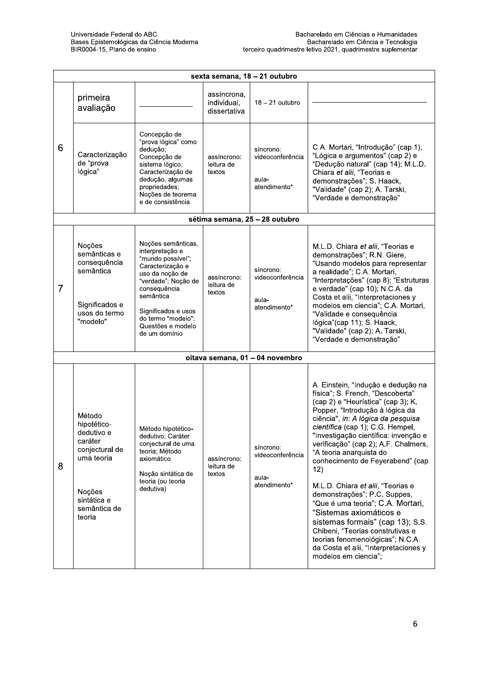|                | sexta semana, 18 - 21 outubro                                                                                                     |                                                                                                                                                                                                                                          |                                            |                                                        |                                                                                                                                                                                                                                                                                                                                                                                                                                                                                                                                                                                                                                                                                                   |  |  |
|----------------|-----------------------------------------------------------------------------------------------------------------------------------|------------------------------------------------------------------------------------------------------------------------------------------------------------------------------------------------------------------------------------------|--------------------------------------------|--------------------------------------------------------|---------------------------------------------------------------------------------------------------------------------------------------------------------------------------------------------------------------------------------------------------------------------------------------------------------------------------------------------------------------------------------------------------------------------------------------------------------------------------------------------------------------------------------------------------------------------------------------------------------------------------------------------------------------------------------------------------|--|--|
|                | primeira<br>avaliação                                                                                                             |                                                                                                                                                                                                                                          | assíncrona,<br>individual,<br>dissertativa | $18 - 21$ outubro                                      |                                                                                                                                                                                                                                                                                                                                                                                                                                                                                                                                                                                                                                                                                                   |  |  |
| 6              | Caracterização<br>de "prova<br>lógica"                                                                                            | Concepção de<br>"prova lógica" como<br>dedução;<br>Concepção de<br>sistema lógico;<br>Caracterização de<br>dedução, algumas<br>propriedades;<br>Noções de teorema<br>e de consistência                                                   | assíncrono:<br>leitura de<br>textos        | síncrono:<br>videoconferência<br>aula-<br>atendimento* | C.A. Mortari, "Introdução" (cap 1),<br>"Lógica e argumentos" (cap 2) e<br>"Dedução natural" (cap 14); M.L.D.<br>Chiara et alii, "Teorias e<br>demonstrações"; S. Haack,<br>"Validade" (cap 2); A. Tarski,<br>"Verdade e demonstração"                                                                                                                                                                                                                                                                                                                                                                                                                                                             |  |  |
|                |                                                                                                                                   |                                                                                                                                                                                                                                          |                                            | sétima semana, 25 - 28 outubro                         |                                                                                                                                                                                                                                                                                                                                                                                                                                                                                                                                                                                                                                                                                                   |  |  |
| $\overline{7}$ | Noções<br>semânticas e<br>consequência<br>semântica<br>Significados e<br>usos do termo<br>"modelo"                                | Noções semânticas,<br>interpretação e<br>"mundo possível";<br>Caracterização e<br>uso da noção de<br>"verdade"; Noção de<br>consequência<br>semântica<br>Significados e usos<br>do termo "modelo";<br>Questões e modelo<br>de um domínio | assíncrono:<br>leitura de<br>textos        | síncrono:<br>videoconferência<br>aula-<br>atendimento* | M.L.D. Chiara et alii, "Teorias e<br>demonstrações"; R.N. Giere,<br>"Usando modelos para representar<br>a realidade"; C.A. Mortari,<br>"Interpretações" (cap 8); "Estruturas<br>e verdade" (cap 10); N.C.A. da<br>Costa et alii, "Interpretaciones y<br>modelos em ciencia"; C.A. Mortari,<br>"Validade e consequência<br>lógica"(cap 11); S. Haack,<br>"Validade" (cap 2); A. Tarski,<br>"Verdade e demonstração"                                                                                                                                                                                                                                                                                |  |  |
|                |                                                                                                                                   |                                                                                                                                                                                                                                          |                                            | oitava semana, 01 - 04 novembro                        |                                                                                                                                                                                                                                                                                                                                                                                                                                                                                                                                                                                                                                                                                                   |  |  |
| 8              | Método<br>hipotético-<br>dedutivo e<br>caráter<br>conjectural de<br>uma teoria<br>Noções<br>sintática e<br>semântica de<br>teoria | Método hipotético-<br>dedutivo; Caráter<br>conjectural de uma<br>teoria. Método<br>axiomático<br>Noção sintática de<br>teoria (ou teoria<br>dedutiva)                                                                                    | assíncrono:<br>leitura de<br>textos        | síncrono:<br>videoconferência<br>aula-<br>atendimento* | A. Einstein, "Indução e dedução na<br>física"; S. French, "Descoberta"<br>(cap 2) e "Heurística" (cap 3); K.<br>Popper, "Introdução à lógica da<br>ciência", in: A lógica da pesquisa<br>científica (cap 1); C.G. Hempel,<br>"Investigação científica: invenção e<br>verificação" (cap 2); A.F. Chalmers,<br>"A teoria anarquista do<br>conhecimento de Feyerabend" (cap<br>12)<br>M.L.D. Chiara et alii, "Teorias e<br>demonstrações"; P.C. Suppes,<br>"Que é uma teoria"; C.A. Mortari,<br>"Sistemas axiomáticos e<br>sistemas formais" (cap 13); S.S.<br>Chibeni, "Teorias construtivas e<br>teorias fenomenológicas"; N.C.A.<br>da Costa et alii, "Interpretaciones y<br>modelos em ciencia"; |  |  |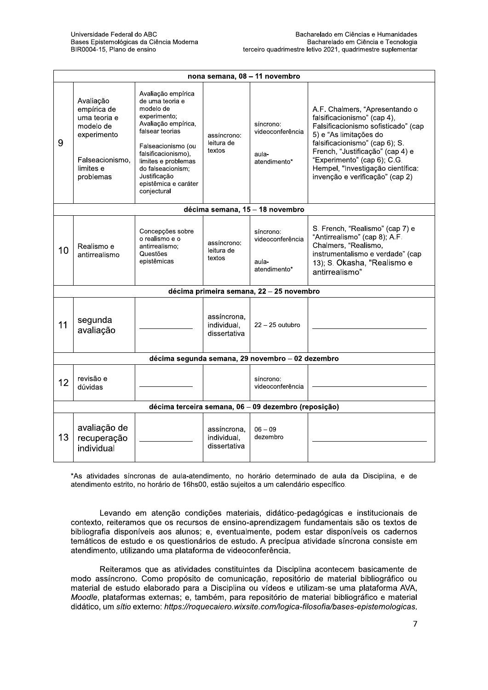|    | nona semana, 08 - 11 novembro                                                                                     |                                                                                                                                                                                                                                                              |                                            |                                                        |                                                                                                                                                                                                                                                                                                             |  |  |
|----|-------------------------------------------------------------------------------------------------------------------|--------------------------------------------------------------------------------------------------------------------------------------------------------------------------------------------------------------------------------------------------------------|--------------------------------------------|--------------------------------------------------------|-------------------------------------------------------------------------------------------------------------------------------------------------------------------------------------------------------------------------------------------------------------------------------------------------------------|--|--|
| 9  | Avaliação<br>empírica de<br>uma teoria e<br>modelo de<br>experimento<br>Falseacionismo.<br>limites e<br>problemas | Avaliação empírica<br>de uma teoria e<br>modelo de<br>experimento:<br>Avaliação empírica,<br>falsear teorias<br>Falseacionismo (ou<br>falsificacionismo).<br>limites e problemas<br>do falseacionism.<br>Justificação<br>epistêmica e caráter<br>conjectural | assíncrono:<br>leitura de<br>textos        | síncrono:<br>videoconferência<br>aula-<br>atendimento* | A.F. Chalmers, "Apresentando o<br>falsificacionismo" (cap 4),<br>Falsificacionismo sofisticado" (cap<br>5) e "As limitações do<br>falsificacionismo" (cap 6); S.<br>French, "Justificação" (cap 4) e<br>"Experimento" (cap 6); C.G.<br>Hempel, "Investigação científica:<br>invenção e verificação" (cap 2) |  |  |
|    |                                                                                                                   |                                                                                                                                                                                                                                                              |                                            | décima semana, 15 - 18 novembro                        |                                                                                                                                                                                                                                                                                                             |  |  |
| 10 | Realismo e<br>antirrealismo                                                                                       | Concepções sobre<br>o realismo e o<br>antirrealismo:<br>Questões<br>epistêmicas                                                                                                                                                                              | assíncrono:<br>leitura de<br>textos        | síncrono:<br>videoconferência<br>aula-<br>atendimento* | S. French, "Realismo" (cap 7) e<br>"Antirrealismo" (cap 8); A.F.<br>Chalmers, "Realismo,<br>instrumentalismo e verdade" (cap<br>13); S. Okasha, "Realismo e<br>antirrealismo"                                                                                                                               |  |  |
|    | décima primeira semana, 22 - 25 novembro                                                                          |                                                                                                                                                                                                                                                              |                                            |                                                        |                                                                                                                                                                                                                                                                                                             |  |  |
| 11 | segunda<br>avaliação                                                                                              |                                                                                                                                                                                                                                                              | assíncrona.<br>individual.<br>dissertativa | $22 - 25$ outubro                                      |                                                                                                                                                                                                                                                                                                             |  |  |
|    |                                                                                                                   |                                                                                                                                                                                                                                                              |                                            | décima segunda semana, 29 novembro - 02 dezembro       |                                                                                                                                                                                                                                                                                                             |  |  |
| 12 | revisão e<br>dúvidas                                                                                              |                                                                                                                                                                                                                                                              |                                            | síncrono:<br>videoconferência                          |                                                                                                                                                                                                                                                                                                             |  |  |
|    |                                                                                                                   |                                                                                                                                                                                                                                                              |                                            | décima terceira semana, 06 - 09 dezembro (reposição)   |                                                                                                                                                                                                                                                                                                             |  |  |
| 13 | avaliação de<br>recuperação<br>individual                                                                         |                                                                                                                                                                                                                                                              | assíncrona,<br>individual,<br>dissertativa | $06 - 09$<br>dezembro                                  |                                                                                                                                                                                                                                                                                                             |  |  |

\*As atividades síncronas de aula-atendimento, no horário determinado de aula da Disciplina, e de atendimento estrito, no horário de 16hs00, estão sujeitos a um calendário específico.

Levando em atenção condições materiais, didático-pedagógicas e institucionais de contexto, reiteramos que os recursos de ensino-aprendizagem fundamentais são os textos de bibliografia disponíveis aos alunos; e, eventualmente, podem estar disponíveis os cadernos temáticos de estudo e os questionários de estudo. A precípua atividade síncrona consiste em atendimento, utilizando uma plataforma de videoconferência.

Reiteramos que as atividades constituintes da Disciplina acontecem basicamente de modo assíncrono. Como propósito de comunicação, repositório de material bibliográfico ou material de estudo elaborado para a Disciplina ou vídeos e utilizam-se uma plataforma AVA, Moodle, plataformas externas; e, também, para repositório de material bibliográfico e material didático, um sítio externo: https://roquecaiero.wixsite.com/logica-filosofia/bases-epistemologicas.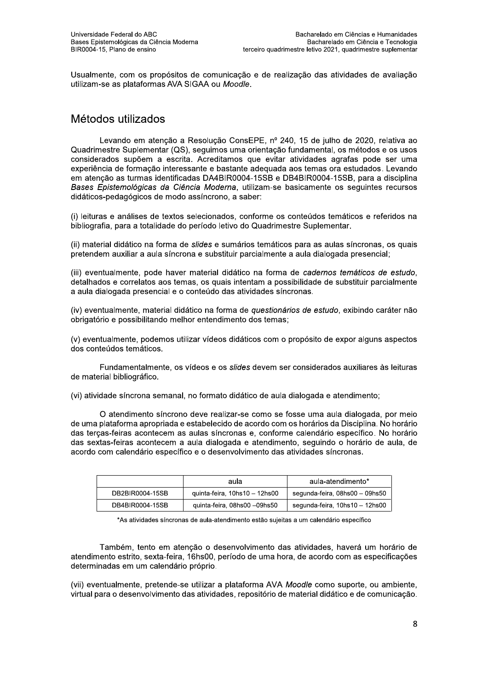Usualmente, com os propósitos de comunicação e de realização das atividades de avaliação utilizam-se as plataformas AVA SIGAA ou Moodle.

## Métodos utilizados

Levando em atenção a Resolução ConsEPE, nº 240, 15 de julho de 2020, relativa ao Quadrimestre Suplementar (QS), sequimos uma orientação fundamental, os métodos e os usos considerados supõem a escrita. Acreditamos que evitar atividades agrafas pode ser uma experiência de formação interessante e bastante adequada aos temas ora estudados. Levando em atenção as turmas identificadas DA4BIR0004-15SB e DB4BIR0004-15SB, para a disciplina Bases Epistemológicas da Ciência Moderna, utilizam-se basicamente os seguintes recursos didáticos-pedagógicos de modo assíncrono, a saber:

(i) leituras e análises de textos selecionados, conforme os conteúdos temáticos e referidos na bibliografia, para a totalidade do período letivo do Quadrimestre Suplementar.

(ii) material didático na forma de slides e sumários temáticos para as aulas síncronas, os quais pretendem auxiliar a aula síncrona e substituir parcialmente a aula dialogada presencial;

(iii) eventualmente, pode haver material didático na forma de cadernos temáticos de estudo, detalhados e correlatos aos temas, os quais intentam a possibilidade de substituir parcialmente a aula dialogada presencial e o conteúdo das atividades síncronas.

(iv) eventualmente, material didático na forma de questionários de estudo, exibindo caráter não obrigatório e possibilitando melhor entendimento dos temas:

(v) eventualmente, podemos utilizar vídeos didáticos com o propósito de expor alguns aspectos dos conteúdos temáticos.

Fundamentalmente, os vídeos e os slides devem ser considerados auxiliares às leituras de material bibliográfico.

(vi) atividade síncrona semanal, no formato didático de aula dialogada e atendimento;

O atendimento síncrono deve realizar-se como se fosse uma aula dialogada, por meio de uma plataforma apropriada e estabelecido de acordo com os horários da Disciplina. No horário das terças-feiras acontecem as aulas síncronas e, conforme calendário específico. No horário das sextas-feiras acontecem a aula dialogada e atendimento, seguindo o horário de aula, de acordo com calendário específico e o desenvolvimento das atividades síncronas.

|                 | aula                          | aula-atendimento*              |
|-----------------|-------------------------------|--------------------------------|
| DB2BIR0004-15SB | quinta-feira, 10hs10 - 12hs00 | segunda-feira, 08hs00 - 09hs50 |
| DB4BIR0004-15SB | quinta-feira, 08hs00 -09hs50  | segunda-feira, 10hs10 – 12hs00 |

\*As atividades síncronas de aula-atendimento estão sujeitas a um calendário específico

Também, tento em atenção o desenvolvimento das atividades, haverá um horário de atendimento estrito, sexta-feira, 16hs00, período de uma hora, de acordo com as especificações determinadas em um calendário próprio.

(vii) eventualmente, pretende-se utilizar a plataforma AVA Moodle como suporte, ou ambiente, virtual para o desenvolvimento das atividades, repositório de material didático e de comunicação.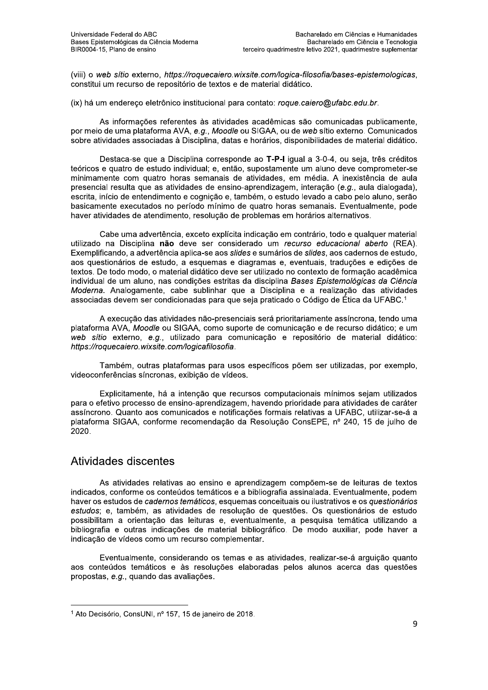(viii) o web sítio externo, https://roquecaiero.wixsite.com/logica-filosofia/bases-epistemologicas, constitui um recurso de repositório de textos e de material didático.

(ix) há um endereço eletrônico institucional para contato: roque.caiero@ufabc.edu.br.

As informações referentes às atividades acadêmicas são comunicadas publicamente, por meio de uma plataforma AVA, e.g., Moodle ou SIGAA, ou de web sítio externo. Comunicados sobre atividades associadas à Disciplina, datas e horários, disponibilidades de material didático.

Destaca-se que a Disciplina corresponde ao T-P-I igual a 3-0-4, ou seja, três créditos teóricos e quatro de estudo individual: e, então, supostamente um aluno deve comprometer-se minimamente com quatro horas semanais de atividades, em média. A inexistência de aula presencial resulta que as atividades de ensino-aprendizagem, interação (e.g., aula dialogada), escrita, início de entendimento e cognição e, também, o estudo levado a cabo pelo aluno, serão basicamente executados no período mínimo de quatro horas semanais. Eventualmente, pode haver atividades de atendimento, resolução de problemas em horários alternativos.

Cabe uma advertência, exceto explícita indicação em contrário, todo e qualquer material utilizado na Disciplina não deve ser considerado um recurso educacional aberto (REA). Exemplificando, a advertência aplica-se aos slides e sumários de slides, aos cadernos de estudo, aos questionários de estudo, a esquemas e diagramas e, eventuais, traduções e edições de textos. De todo modo, o material didático deve ser utilizado no contexto de formação acadêmica individual de um aluno, nas condições estritas da disciplina Bases Epistemológicas da Ciência Moderna. Analogamente, cabe sublinhar que a Disciplina e a realização das atividades associadas devem ser condicionadas para que seja praticado o Código de Ética da UFABC.<sup>1</sup>

A execução das atividades não-presenciais será prioritariamente assíncrona, tendo uma plataforma AVA, Moodle ou SIGAA, como suporte de comunicação e de recurso didático; e um web sítio externo, e.g., utilizado para comunicação e repositório de material didático: https://roquecaiero.wixsite.com/logicafilosofia.

Também, outras plataformas para usos específicos põem ser utilizadas, por exemplo, videoconferências síncronas, exibicão de vídeos.

Explicitamente, há a intenção que recursos computacionais mínimos sejam utilizados para o efetivo processo de ensino-aprendizagem, havendo prioridade para atividades de caráter assíncrono. Quanto aos comunicados e notificações formais relativas a UFABC, utilizar-se-á a plataforma SIGAA, conforme recomendação da Resolução ConsEPE, nº 240, 15 de julho de 2020.

#### Atividades discentes

As atividades relativas ao ensino e aprendizagem compõem-se de leituras de textos indicados, conforme os conteúdos temáticos e a bibliografia assinalada. Eventualmente, podem haver os estudos de cadernos temáticos, esquemas conceituais ou ilustrativos e os questionários estudos; e, também, as atividades de resolução de questões. Os questionários de estudo possibilitam a orientação das leituras e, eventualmente, a pesquisa temática utilizando a bibliografia e outras indicações de material bibliográfico. De modo auxiliar, pode haver a indicação de vídeos como um recurso complementar.

Eventualmente, considerando os temas e as atividades, realizar-se-á arguição quanto aos conteúdos temáticos e às resoluções elaboradas pelos alunos acerca das questões propostas, e.g., quando das avaliações.

<sup>&</sup>lt;sup>1</sup> Ato Decisório, ConsUNI, nº 157, 15 de janeiro de 2018.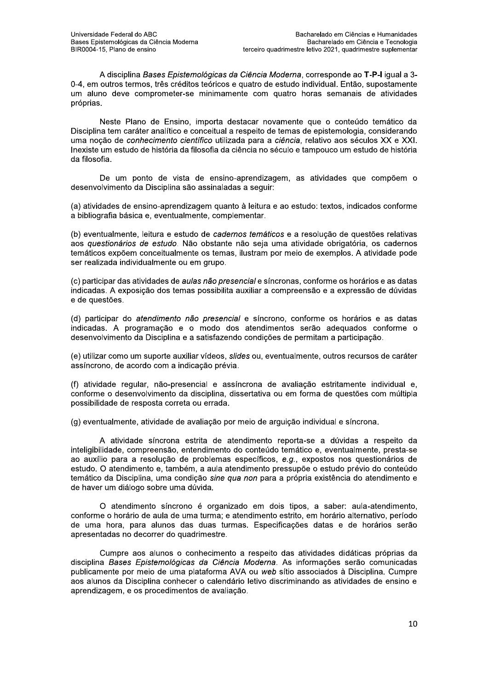A disciplina Bases Epistemológicas da Ciência Moderna, corresponde ao T-P-I igual a 3-0-4, em outros termos, três créditos teóricos e quatro de estudo individual. Então, supostamente um aluno deve comprometer-se minimamente com quatro horas semanais de atividades próprias.

Neste Plano de Ensino, importa destacar novamente que o conteúdo temático da Disciplina tem caráter analítico e conceitual a respeito de temas de epistemologia, considerando uma nocão de conhecimento científico utilizada para a ciência, relativo aos séculos XX e XXI. Inexiste um estudo de história da filosofia da ciência no século e tampouco um estudo de história da filosofia.

De um ponto de vista de ensino-aprendizagem, as atividades que compõem o desenvolvimento da Disciplina são assinaladas a seguir:

(a) atividades de ensino-aprendizagem quanto à leitura e ao estudo: textos, indicados conforme a bibliografia básica e, eventualmente, complementar.

(b) eventualmente, leitura e estudo de cadernos temáticos e a resolução de questões relativas aos questionários de estudo. Não obstante não seja uma atividade obrigatória, os cadernos temáticos expõem conceitualmente os temas, ilustram por meio de exemplos. A atividade pode ser realizada individualmente ou em grupo.

(c) participar das atividades de *aulas não presencial* e síncronas, conforme os horários e as datas indicadas. A exposição dos temas possibilita auxiliar a compreensão e a expressão de dúvidas e de questões.

(d) participar do atendimento não presencial e síncrono, conforme os horários e as datas indicadas. A programação e o modo dos atendimentos serão adeguados conforme o desenvolvimento da Disciplina e a satisfazendo condições de permitam a participação.

(e) utilizar como um suporte auxiliar vídeos, slides ou, eventualmente, outros recursos de caráter assíncrono, de acordo com a indicação prévia.

(f) atividade regular, não-presencial e assíncrona de avaliação estritamente individual e. conforme o desenvolvimento da disciplina, dissertativa ou em forma de questões com múltipla possibilidade de resposta correta ou errada.

(g) eventualmente, atividade de avaliação por meio de arguição individual e síncrona.

A atividade síncrona estrita de atendimento reporta-se a dúvidas a respeito da inteligibilidade, compreensão, entendimento do conteúdo temático e, eventualmente, presta-se ao auxílio para a resolução de problemas específicos, e.g., expostos nos questionários de estudo. O atendimento e, também, a aula atendimento pressupõe o estudo prévio do conteúdo temático da Disciplina, uma condição sine qua non para a própria existência do atendimento e de haver um diálogo sobre uma dúvida.

O atendimento síncrono é organizado em dois tipos, a saber: aula-atendimento, conforme o horário de aula de uma turma; e atendimento estrito, em horário alternativo, período de uma hora, para alunos das duas turmas. Especificações datas e de horários serão apresentadas no decorrer do quadrimestre.

Cumpre aos alunos o conhecimento a respeito das atividades didáticas próprias da disciplina Bases Epistemológicas da Ciência Moderna. As informações serão comunicadas publicamente por meio de uma plataforma AVA ou web sítio associados à Disciplina. Cumpre aos alunos da Disciplina conhecer o calendário letivo discriminando as atividades de ensino e aprendizagem, e os procedimentos de avaliação.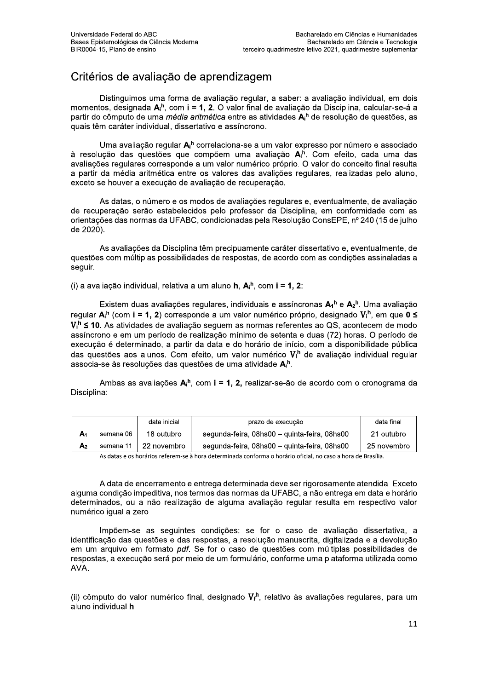# Critérios de avaliação de aprendizagem

Distinguimos uma forma de avaliação regular, a saber: a avaliação individual, em dois momentos, designada A<sub>i</sub><sup>h</sup>, com **i = 1, 2**. O valor final de avaliação da Disciplina, calcular-se-á a partir do cômputo de uma *média aritmética* entre as atividades A<sub>i</sub>n de resolução de questões, as quais têm caráter individual, dissertativo e assíncrono.

Uma avaliação regular A<sub>i</sub>n correlaciona-se a um valor expresso por número e associado à resolução das questões que compõem uma avaliação  $A_i^h$ . Com efeito, cada uma das avaliações regulares corresponde a um valor numérico próprio. O valor do conceito final resulta a partir da média aritmética entre os valores das avalições regulares, realizadas pelo aluno, exceto se houver a execução de avaliação de recuperação.

As datas, o número e os modos de avaliações regulares e, eventualmente, de avaliação de recuperação serão estabelecidos pelo professor da Disciplina, em conformidade com as orientações das normas da UFABC, condicionadas pela Resolução ConsEPE, nº 240 (15 de julho de 2020).

As avaliações da Disciplina têm precipuamente caráter dissertativo e, eventualmente, de questões com múltiplas possibilidades de respostas, de acordo com as condições assinaladas a seauir.

(i) a avaliação individual, relativa a um aluno  $h$ ,  $A_i^h$ , com  $i = 1, 2$ :

Existem duas avaliações regulares, individuais e assíncronas  $A_1^h$  e  $A_2^h$ . Uma avaliação regular  $A_i^h$  (com i = 1, 2) corresponde a um valor numérico próprio, designado  $V_i^h$ , em que 0  $\leq$  $V_i^h \leq 10$ . As atividades de avaliação sequem as normas referentes ao QS, acontecem de modo assíncrono e em um período de realização mínimo de setenta e duas (72) horas. O período de execução é determinado, a partir da data e do horário de início, com a disponibilidade pública das questões aos alunos. Com efeito, um valor numérico V<sub>i</sub>h de avaliação individual regular associa-se às resoluções das questões de uma atividade A<sup>h</sup>.

Ambas as avaliações  $A_i^h$ , com i = 1, 2, realizar-se-ão de acordo com o cronograma da Disciplina:

|    |           | data inicial | prazo de execução                            | data final  |
|----|-----------|--------------|----------------------------------------------|-------------|
| A1 | semana 06 | 18 outubro   | segunda-feira, 08hs00 – guinta-feira, 08hs00 | 21 outubro  |
| A2 | semana 11 | 22 novembro  | segunda-feira, 08hs00 - guinta-feira, 08hs00 | 25 novembro |

As datas e os horários referem-se à hora determinada conforma o horário oficial, no caso a hora de Brasília.

A data de encerramento e entrega determinada deve ser rigorosamente atendida. Exceto alguma condição impeditiva, nos termos das normas da UFABC, a não entrega em data e horário determinados, ou a não realização de alguma avaliação regular resulta em respectivo valor numérico igual a zero.

Impõem-se as seguintes condições: se for o caso de avaliação dissertativa, a identificação das questões e das respostas, a resolução manuscrita, digitalizada e a devolução em um arquivo em formato pdf. Se for o caso de questões com múltiplas possibilidades de respostas, a execução será por meio de um formulário, conforme uma plataforma utilizada como AVA.

(ii) cômputo do valor numérico final, designado  $V_f^h$ , relativo às avaliações regulares, para um aluno individual h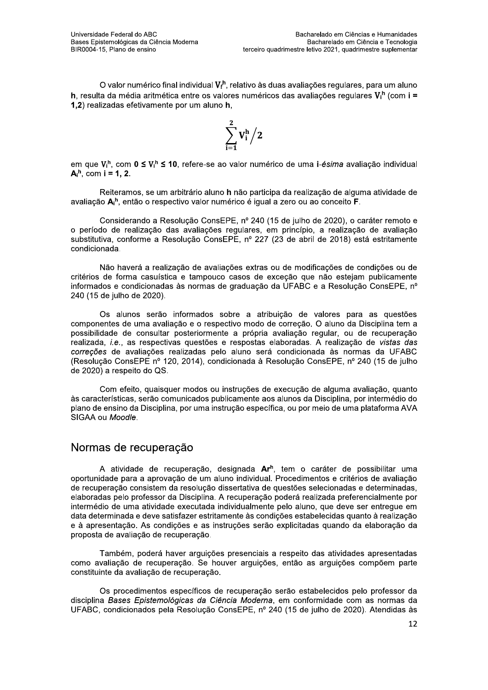O valor numérico final individual  $V_f^h$ , relativo às duas avaliações regulares, para um aluno h, resulta da média aritmética entre os valores numéricos das avaliações regulares  $V_i^h$  (com i = 1.2) realizadas efetivamente por um aluno h.

$$
\sum_{i=1}^2 V_i^h \Big/2
$$

em que  $V_i^h$ , com  $0 \le V_i^h \le 10$ , refere-se ao valor numérico de uma i-ésima avaliação individual  $A_i^h$ , com i = 1, 2.

Reiteramos, se um arbitrário aluno h não participa da realização de alguma atividade de avaliação Ai<sup>h</sup>, então o respectivo valor numérico é igual a zero ou ao conceito F.

Considerando a Resolução ConsEPE, nº 240 (15 de julho de 2020), o caráter remoto e o período de realização das avaliações regulares, em princípio, a realização de avaliação substitutiva, conforme a Resolução ConsEPE, nº 227 (23 de abril de 2018) está estritamente condicionada.

Não haverá a realização de avaliações extras ou de modificações de condições ou de critérios de forma casuística e tampouco casos de exceção que não estejam publicamente informados e condicionadas às normas de graduação da UFABC e a Resolução ConsEPE, nº 240 (15 de julho de 2020).

Os alunos serão informados sobre a atribuição de valores para as questões componentes de uma avaliação e o respectivo modo de correção. O aluno da Disciplina tem a possibilidade de consultar posteriormente a própria avaliação regular, ou de recuperação realizada, i.e., as respectivas questões e respostas elaboradas. A realização de vistas das correções de avaliações realizadas pelo aluno será condicionada às normas da UFABC (Resolução ConsEPE nº 120, 2014), condicionada à Resolução ConsEPE, nº 240 (15 de julho de 2020) a respeito do QS.

Com efeito, quaisquer modos ou instruções de execução de alguma avaliação, quanto às características, serão comunicados publicamente aos alunos da Disciplina, por intermédio do plano de ensino da Disciplina, por uma instrução específica, ou por meio de uma plataforma AVA SIGAA ou Moodle.

#### Normas de recuperação

A atividade de recuperação, designada Ar<sup>h</sup>, tem o caráter de possibilitar uma oportunidade para a aprovação de um aluno individual. Procedimentos e critérios de avaliação de recuperação consistem da resolução dissertativa de questões selecionadas e determinadas, elaboradas pelo professor da Disciplina. A recuperação poderá realizada preferencialmente por intermédio de uma atividade executada individualmente pelo aluno, que deve ser entregue em data determinada e deve satisfazer estritamente às condições estabelecidas quanto à realização e à apresentação. As condições e as instruções serão explicitadas quando da elaboração da proposta de avaliação de recuperação.

Também, poderá haver arguições presenciais a respeito das atividades apresentadas como avaliação de recuperação. Se houver arguições, então as arguições compõem parte constituinte da avaliação de recuperação.

Os procedimentos específicos de recuperação serão estabelecidos pelo professor da disciplina Bases Epistemológicas da Ciência Moderna, em conformidade com as normas da UFABC, condicionados pela Resolução ConsEPE, nº 240 (15 de julho de 2020). Atendidas às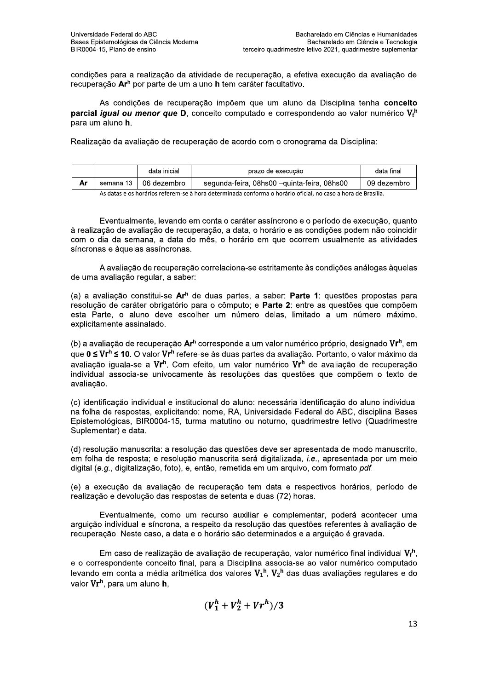condições para a realização da atividade de recuperação, a efetiva execução da avaliação de recuperação Ar<sup>h</sup> por parte de um aluno h tem caráter facultativo.

As condições de recuperação impõem que um aluno da Disciplina tenha conceito **parcial** *iqual ou menor que* D, conceito computado e correspondendo ao valor numérico  $V_f^h$ para um aluno h.

Realização da avaliação de recuperação de acordo com o cronograma da Disciplina:

|           | data inicial | prazo de execução                           | data final  |
|-----------|--------------|---------------------------------------------|-------------|
| semana 13 | 06 dezembro  | segunda-feira, 08hs00 –guinta-feira, 08hs00 | 09 dezembro |

As datas e os horários referem-se à hora determinada conforma o horário oficial, no caso a hora de Brasília.

Eventualmente, levando em conta o caráter assíncrono e o período de execução, quanto à realização de avaliação de recuperação, a data, o horário e as condições podem não coincidir com o dia da semana, a data do mês, o horário em que ocorrem usualmente as atividades síncronas e àquelas assíncronas.

A avaliação de recuperação correlaciona-se estritamente às condições análogas àquelas de uma avaliação regular, a saber:

(a) a avaliação constitui-se Ar<sup>h</sup> de duas partes, a saber: Parte 1: questões propostas para resolução de caráter obrigatório para o cômputo; e Parte 2: entre as questões que compõem esta Parte, o aluno deve escolher um número delas, limitado a um número máximo, explicitamente assinalado.

(b) a avaliação de recuperação Ar<sup>h</sup> corresponde a um valor numérico próprio, designado Vr<sup>h</sup>, em que 0 ≤ Vr<sup>h</sup> ≤ 10. O valor Vr<sup>h</sup> refere-se às duas partes da avaliação. Portanto, o valor máximo da avaliação iguala-se a Vr<sup>h</sup>. Com efeito, um valor numérico Vr<sup>h</sup> de avaliação de recuperação individual associa-se univocamente às resoluções das questões que compõem o texto de avaliação.

(c) identificação individual e institucional do aluno: necessária identificação do aluno individual na folha de respostas, explicitando: nome, RA, Universidade Federal do ABC, disciplina Bases Epistemológicas, BIR0004-15, turma matutino ou noturno, quadrimestre letivo (Quadrimestre Suplementar) e data.

(d) resolução manuscrita: a resolução das questões deve ser apresentada de modo manuscrito, em folha de resposta; e resolução manuscrita será digitalizada, *i.e.*, apresentada por um meio digital (e.g., digitalização, foto), e, então, remetida em um arquivo, com formato pdf.

(e) a execução da avaliação de recuperação tem data e respectivos horários, período de realização e devolução das respostas de setenta e duas (72) horas.

Eventualmente, como um recurso auxiliar e complementar, poderá acontecer uma arguição individual e síncrona, a respeito da resolução das questões referentes à avaliação de recuperação. Neste caso, a data e o horário são determinados e a arguição é gravada.

Em caso de realização de avaliação de recuperação, valor numérico final individual  $V_f^h$ . e o correspondente conceito final, para a Disciplina associa-se ao valor numérico computado levando em conta a média aritmética dos valores  $V_1^h$ .  $V_2^h$  das duas avaliações regulares e do valor Vr<sup>h</sup>, para um aluno h,

$$
(V_1^h + V_2^h + Vr^h)/3
$$

13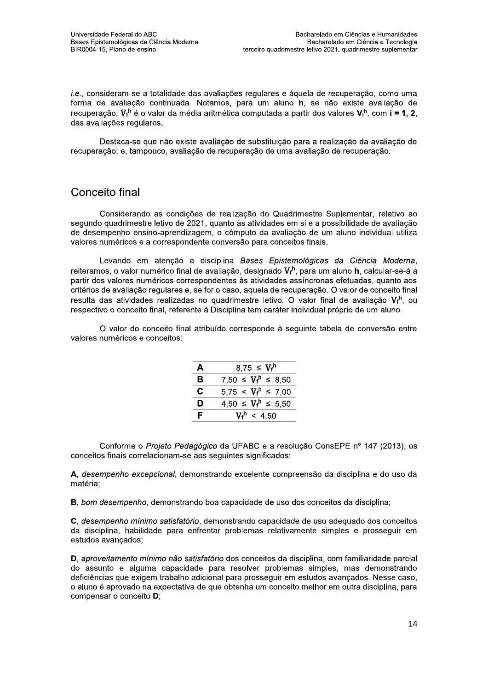i.e., consideram-se a totalidade das avaliações regulares e àquela de recuperação, como uma forma de avaliação continuada. Notamos, para um aluno h, se não existe avaliação de recuperação.  $V_f^h$  é o valor da média aritmética computada a partir dos valores  $V_i^h$ , com **i = 1, 2**. das avaliações regulares.

Destaca-se que não existe avaliação de substituição para a realização da avaliação de recuperação; e, tampouco, avaliação de recuperação de uma avaliação de recuperação.

## Conceito final

Considerando as condições de realização do Quadrimestre Suplementar, relativo ao segundo quadrimestre letivo de 2021, quanto às atividades em si e a possibilidade de avaliação de desempenho ensino-aprendizagem, o cômputo da avaliação de um aluno individual utiliza valores numéricos e a correspondente conversão para conceitos finais.

Levando em atenção a disciplina Bases Epistemológicas da Ciência Moderna, reiteramos, o valor numérico final de avaliação, designado  $V_f^h$ , para um aluno h, calcular-se-á a partir dos valores numéricos correspondentes às atividades assíncronas efetuadas, quanto aos critérios de avaliação regulares e, se for o caso, aquela de recuperação. O valor de conceito final resulta das atividades realizadas no quadrimestre letivo. O valor final de avaliação V<sub>f</sub><sup>h</sup>, ou respectivo o conceito final, referente à Disciplina tem caráter individual próprio de um aluno.

O valor do conceito final atribuído corresponde à sequinte tabela de conversão entre valores numéricos e conceitos:

| A | 8.75 $\leq V_f^h$           |
|---|-----------------------------|
| B | 7.50 $\leq V_f^h \leq 8.50$ |
| С | $5.75 < V_f^h \le 7.00$     |
| D | $4,50 \leq V_f^h \leq 5,50$ |
| F | $V_f^h$ < 4,50              |

Conforme o Projeto Pedagógico da UFABC e a resolução ConsEPE nº 147 (2013), os conceitos finais correlacionam-se aos seguintes significados:

A. desempenho excepcional, demonstrando excelente compreensão da disciplina e do uso da matéria:

B, bom desempenho, demonstrando boa capacidade de uso dos conceitos da disciplina;

C, desempenho mínimo satisfatório, demonstrando capacidade de uso adequado dos conceitos da disciplina, habilidade para enfrentar problemas relativamente simples e prosseguir em estudos avançados;

D, aproveitamento mínimo não satisfatório dos conceitos da disciplina, com familiaridade parcial do assunto e alguma capacidade para resolver problemas simples, mas demonstrando deficiências que exigem trabalho adicional para prosseguir em estudos avancados. Nesse caso, o aluno é aprovado na expectativa de que obtenha um conceito melhor em outra disciplina, para compensar o conceito D;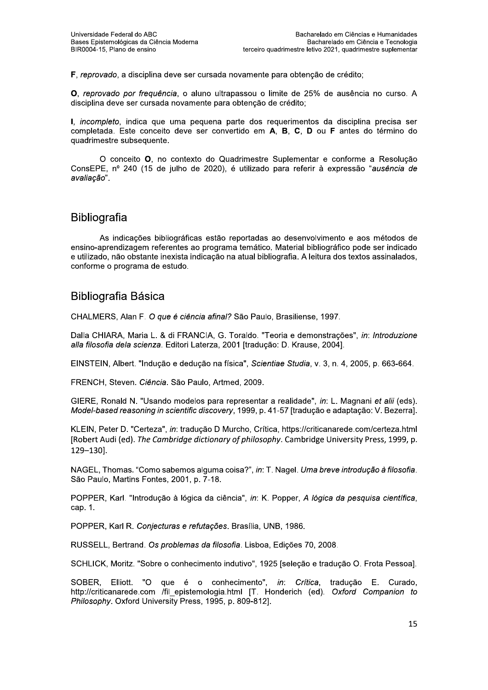F, reprovado, a disciplina deve ser cursada novamente para obtenção de crédito;

O, reprovado por frequência, o aluno ultrapassou o limite de 25% de ausência no curso. A disciplina deve ser cursada novamente para obtenção de crédito;

I, incompleto, indica que uma pequena parte dos requerimentos da disciplina precisa ser completada. Este conceito deve ser convertido em A, B, C, D ou F antes do término do quadrimestre subsequente.

O conceito O, no contexto do Quadrimestre Suplementar e conforme a Resolução ConsEPE, nº 240 (15 de julho de 2020), é utilizado para referir à expressão "ausência de avaliação".

#### **Bibliografia**

As indicações bibliográficas estão reportadas ao desenvolvimento e aos métodos de ensino-aprendizagem referentes ao programa temático. Material bibliográfico pode ser indicado e utilizado, não obstante inexista indicação na atual bibliografia. A leitura dos textos assinalados, conforme o programa de estudo.

### **Bibliografia Básica**

CHALMERS, Alan F. O que é ciência afinal? São Paulo, Brasiliense, 1997.

Dalla CHIARA, Maria L. & di FRANCIA, G. Toraldo. "Teoria e demonstrações", in: Introduzione alla filosofia dela scienza. Editori Laterza, 2001 [tradução: D. Krause, 2004].

EINSTEIN, Albert. "Indução e dedução na física", Scientiae Studia, v. 3, n. 4, 2005, p. 663-664.

FRENCH, Steven. Ciência. São Paulo, Artmed, 2009.

GIERE, Ronald N. "Usando modelos para representar a realidade", in: L. Magnani et alii (eds). Model-based reasoning in scientific discovery, 1999, p. 41-57 [tradução e adaptação: V. Bezerra].

KLEIN, Peter D. "Certeza", in: tradução D Murcho, Crítica, https://criticanarede.com/certeza.html [Robert Audi (ed). The Cambridge dictionary of philosophy. Cambridge University Press, 1999, p.  $129 - 130$ ].

NAGEL, Thomas. "Como sabemos alguma coisa?", in: T. Nagel. Uma breve introdução à filosofia. São Paulo, Martins Fontes, 2001, p. 7-18.

POPPER, Karl. "Introdução à lógica da ciência", in: K. Popper, A lógica da pesquisa científica, cap. 1.

POPPER, Karl R. Conjecturas e refutações. Brasília, UNB, 1986.

RUSSELL, Bertrand. Os problemas da filosofía. Lisboa, Edicões 70, 2008.

SCHLICK, Moritz. "Sobre o conhecimento indutivo", 1925 [seleção e tradução O. Frota Pessoa].

SOBER, Elliott. "O que é o conhecimento", in: Crítica, tradução E. Curado, http://criticanarede.com /fil\_epistemologia.html [T. Honderich (ed). Oxford Companion to Philosophy. Oxford University Press, 1995, p. 809-812].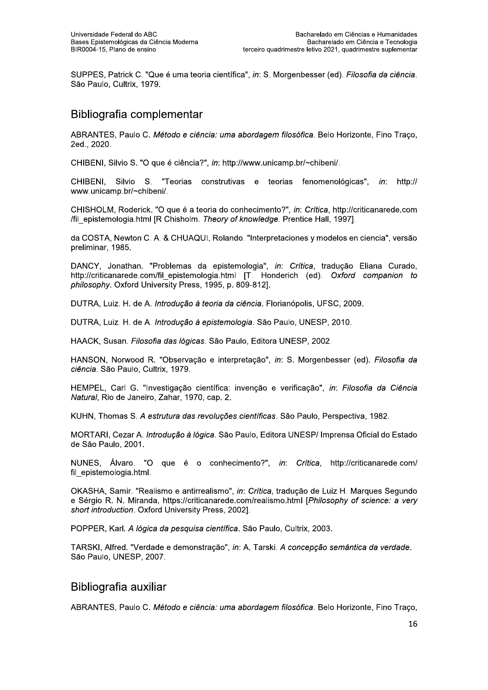SUPPES, Patrick C. "Que é uma teoria científica", in: S. Morgenbesser (ed). Filosofia da ciência. São Paulo, Cultrix, 1979.

### Bibliografia complementar

ABRANTES, Paulo C. Método e ciência: uma abordagem filosófica. Belo Horizonte, Fino Traço, 2ed., 2020.

CHIBENI, Silvio S. "O que é ciência?", in: http://www.unicamp.br/~chibeni/.

Silvio S. "Teorias construtivas e teorias fenomenológicas", http:// CHIBENI in: www.unicamp.br/~chibeni/.

CHISHOLM, Roderick. "O que é a teoria do conhecimento?", in: Crítica, http://criticanarede.com /fil\_epistemologia.html [R Chisholm. Theory of knowledge. Prentice Hall, 1997].

da COSTA, Newton C. A. & CHUAQUI, Rolando. "Interpretaciones y modelos en ciencia", versão preliminar, 1985.

DANCY, Jonathan. "Problemas da epistemologia", in: Crítica, tradução Eliana Curado, http://criticanarede.com/fil epistemologia.html [T. Honderich (ed). Oxford companion to philosophy. Oxford University Press, 1995, p. 809-812].

DUTRA, Luiz, H. de A. *Introducão à teoria da ciência*, Florianópolis, UFSC, 2009.

DUTRA, Luiz. H. de A. Introdução à epistemologia. São Paulo, UNESP, 2010.

HAACK, Susan. Filosofia das lógicas. São Paulo, Editora UNESP, 2002.

HANSON, Norwood R. "Observação e interpretação", in: S. Morgenbesser (ed). Filosofia da ciência. São Paulo, Cultrix, 1979.

HEMPEL, Carl G. "Investigação científica: invenção e verificação", in: Filosofia da Ciência Natural, Rio de Janeiro, Zahar, 1970, cap. 2.

KUHN, Thomas S. A estrutura das revoluções científicas. São Paulo, Perspectiva, 1982.

MORTARI, Cezar A. Introdução à lógica. São Paulo, Editora UNESP/ Imprensa Oficial do Estado de São Paulo, 2001.

NUNES, Álvaro. "O que é o conhecimento?", in: Crítica, http://criticanarede.com/ fil epistemologia.html.

OKASHA, Samir. "Realismo e antirrealismo", in: Crítica, tradução de Luiz H. Marques Segundo e Sérgio R. N. Miranda, https://criticanarede.com/realismo.html [Philosophy of science: a very short introduction. Oxford University Press, 2002].

POPPER, Karl. A lógica da pesquisa científica. São Paulo, Cultrix, 2003.

TARSKI, Alfred. "Verdade e demonstração", in: A. Tarski, A concepção semântica da verdade. São Paulo, UNESP, 2007.

### Bibliografia auxiliar

ABRANTES, Paulo C. Método e ciência: uma abordagem filosófica. Belo Horizonte, Fino Traco,